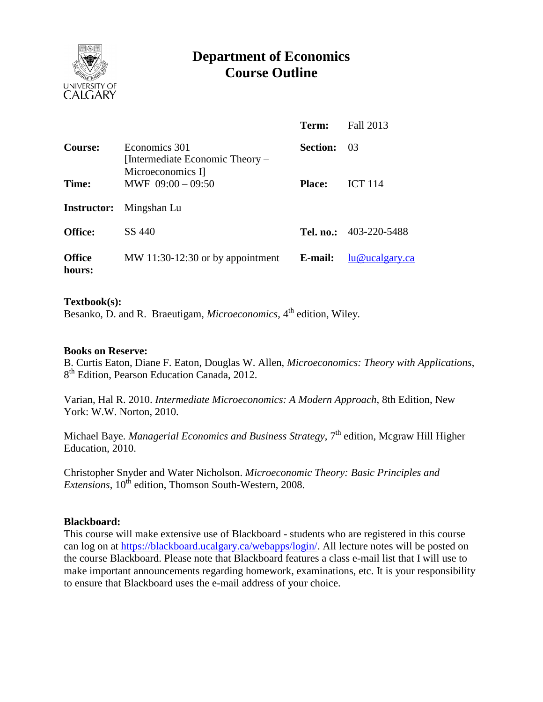

# **Department of Economics Course Outline**

|                         |                                                                       | Term:           | Fall 2013                     |
|-------------------------|-----------------------------------------------------------------------|-----------------|-------------------------------|
| <b>Course:</b>          | Economics 301<br>[Intermediate Economic Theory –<br>Microeconomics I] | <b>Section:</b> | -03                           |
| Time:                   | MWF $09:00 - 09:50$                                                   | <b>Place:</b>   | <b>ICT 114</b>                |
|                         | <b>Instructor:</b> Mingshan Lu                                        |                 |                               |
| <b>Office:</b>          | SS 440                                                                |                 | <b>Tel. no.:</b> 403-220-5488 |
| <b>Office</b><br>hours: | MW 11:30-12:30 or by appointment                                      | E-mail:         | lu@ucalgary.ca                |

### **Textbook(s):**

Besanko, D. and R. Braeutigam, *Microeconomics*, 4<sup>th</sup> edition, Wiley.

#### **Books on Reserve:**

B. Curtis Eaton, Diane F. Eaton, Douglas W. Allen, *Microeconomics: Theory with Applications*, 8<sup>th</sup> Edition, Pearson Education Canada, 2012.

Varian, Hal R. 2010. *Intermediate Microeconomics: A Modern Approach*, 8th Edition, New York: W.W. Norton, 2010.

Michael Baye. *Managerial Economics and Business Strategy*, 7<sup>th</sup> edition, Mcgraw Hill Higher Education, 2010.

Christopher Snyder and Water Nicholson. *Microeconomic Theory: Basic Principles and Extensions*,  $10^{th}$  edition, Thomson South-Western, 2008.

#### **Blackboard:**

This course will make extensive use of Blackboard - students who are registered in this course can log on at [https://blackboard.ucalgary.ca/webapps/login/.](https://blackboard.ucalgary.ca/webapps/login/) All lecture notes will be posted on the course Blackboard. Please note that Blackboard features a class e-mail list that I will use to make important announcements regarding homework, examinations, etc. It is your responsibility to ensure that Blackboard uses the e-mail address of your choice.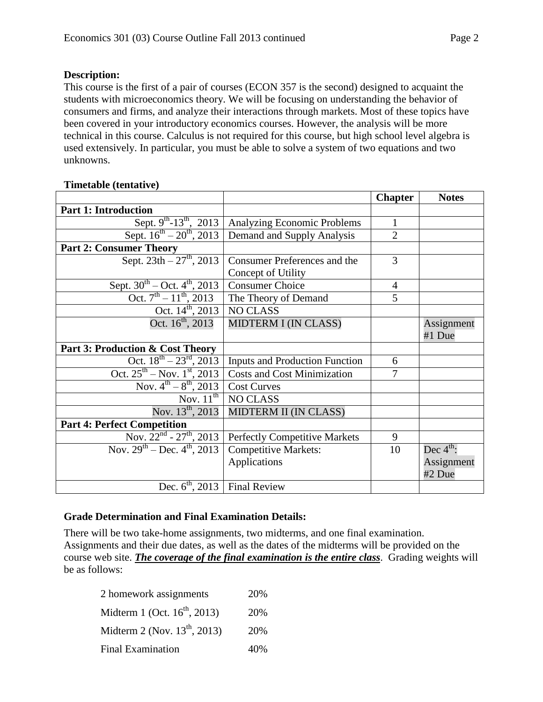## **Description:**

This course is the first of a pair of courses (ECON 357 is the second) designed to acquaint the students with microeconomics theory. We will be focusing on understanding the behavior of consumers and firms, and analyze their interactions through markets. Most of these topics have been covered in your introductory economics courses. However, the analysis will be more technical in this course. Calculus is not required for this course, but high school level algebra is used extensively. In particular, you must be able to solve a system of two equations and two unknowns.

### **Timetable (tentative)**

|                                              |                                                    | <b>Chapter</b> | <b>Notes</b>          |
|----------------------------------------------|----------------------------------------------------|----------------|-----------------------|
| <b>Part 1: Introduction</b>                  |                                                    |                |                       |
| Sept. $9^{th}$ -13 <sup>th</sup> , 2013      | Analyzing Economic Problems                        | 1              |                       |
| Sept. $16^{th} - 20^{th}$ , 2013             | Demand and Supply Analysis                         | $\overline{2}$ |                       |
| <b>Part 2: Consumer Theory</b>               |                                                    |                |                       |
| Sept. $23th - 27th$ , 2013                   | Consumer Preferences and the<br>Concept of Utility | 3              |                       |
| Sept. $30^{th}$ – Oct. $4^{th}$ , 2013       | <b>Consumer Choice</b>                             | $\overline{4}$ |                       |
| Oct. $7^{\text{th}} - 11^{\text{th}}$ , 2013 | The Theory of Demand                               | 5              |                       |
| Oct. $14^{\text{th}}$ , 2013                 | <b>NO CLASS</b>                                    |                |                       |
| Oct. $16^{\text{th}}$ , 2013                 | MIDTERM I (IN CLASS)                               |                | Assignment<br>#1 Due  |
| Part 3: Production & Cost Theory             |                                                    |                |                       |
| Oct. $18^{th} - 23^{rd}$ , 2013              | <b>Inputs and Production Function</b>              | 6              |                       |
| Oct. $25^{th}$ – Nov. $1^{st}$ , 2013        | <b>Costs and Cost Minimization</b>                 | 7              |                       |
| Nov. $4^{th} - 8^{th}$ , 2013                | <b>Cost Curves</b>                                 |                |                       |
| Nov. $11^{th}$                               | <b>NO CLASS</b>                                    |                |                       |
| Nov. $13^{th}$ , 2013                        | MIDTERM II (IN CLASS)                              |                |                       |
| <b>Part 4: Perfect Competition</b>           |                                                    |                |                       |
| Nov. $22^{nd}$ - $27^{th}$ , $2013$          | <b>Perfectly Competitive Markets</b>               | 9              |                       |
| Nov. $29^{th}$ – Dec. $4^{th}$ , 2013        | <b>Competitive Markets:</b>                        | 10             | Dec $4^{\text{th}}$ : |
|                                              | Applications                                       |                | Assignment<br>#2 Due  |
| Dec. $6^{\text{th}}$ , 2013   Final Review   |                                                    |                |                       |

# **Grade Determination and Final Examination Details:**

There will be two take-home assignments, two midterms, and one final examination. Assignments and their due dates, as well as the dates of the midterms will be provided on the course web site. *The coverage of the final examination is the entire class*. Grading weights will be as follows:

| 2 homework assignments            | 20% |
|-----------------------------------|-----|
| Midterm 1 (Oct. $16^{th}$ , 2013) | 20% |
| Midterm 2 (Nov. $13^{th}$ , 2013) | 20% |
| <b>Final Examination</b>          | 40% |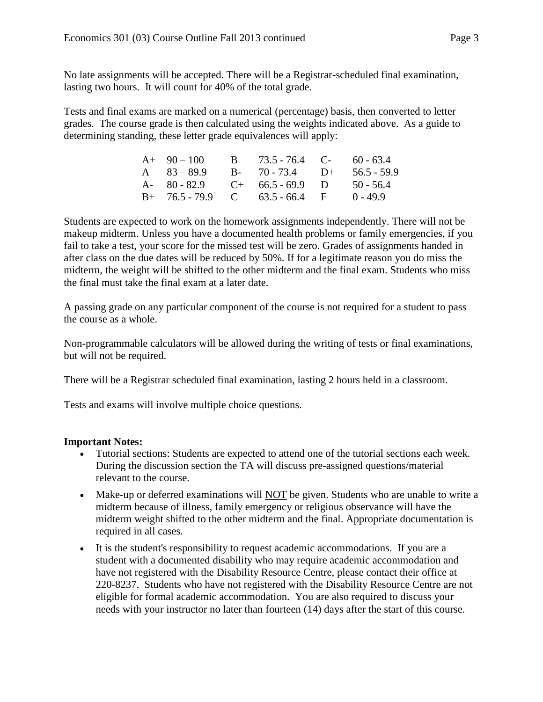No late assignments will be accepted. There will be a Registrar-scheduled final examination, lasting two hours. It will count for 40% of the total grade.

Tests and final exams are marked on a numerical (percentage) basis, then converted to letter grades. The course grade is then calculated using the weights indicated above. As a guide to determining standing, these letter grade equivalences will apply:

| $A+90-100$    | B $73.5 - 76.4$ C- $60 - 63.4$    |             |
|---------------|-----------------------------------|-------------|
| A $83 - 89.9$ | $B - 70 - 73.4$ $D +$             | 56.5 - 59.9 |
|               | A- $80 - 82.9$ C+ $66.5 - 69.9$ D | $50 - 56.4$ |
|               | $B+ 76.5-79.9$ C 63.5 - 66.4 F    | $0 - 49.9$  |

Students are expected to work on the homework assignments independently. There will not be makeup midterm. Unless you have a documented health problems or family emergencies, if you fail to take a test, your score for the missed test will be zero. Grades of assignments handed in after class on the due dates will be reduced by 50%. If for a legitimate reason you do miss the midterm, the weight will be shifted to the other midterm and the final exam. Students who miss the final must take the final exam at a later date.

A passing grade on any particular component of the course is not required for a student to pass the course as a whole.

Non-programmable calculators will be allowed during the writing of tests or final examinations, but will not be required.

There will be a Registrar scheduled final examination, lasting 2 hours held in a classroom.

Tests and exams will involve multiple choice questions.

# **Important Notes:**

- Tutorial sections: Students are expected to attend one of the tutorial sections each week. During the discussion section the TA will discuss pre-assigned questions/material relevant to the course.
- Make-up or deferred examinations will  $\overline{NOT}$  be given. Students who are unable to write a midterm because of illness, family emergency or religious observance will have the midterm weight shifted to the other midterm and the final. Appropriate documentation is required in all cases.
- It is the student's responsibility to request academic accommodations. If you are a student with a documented disability who may require academic accommodation and have not registered with the Disability Resource Centre, please contact their office at 220-8237. Students who have not registered with the Disability Resource Centre are not eligible for formal academic accommodation. You are also required to discuss your needs with your instructor no later than fourteen (14) days after the start of this course.